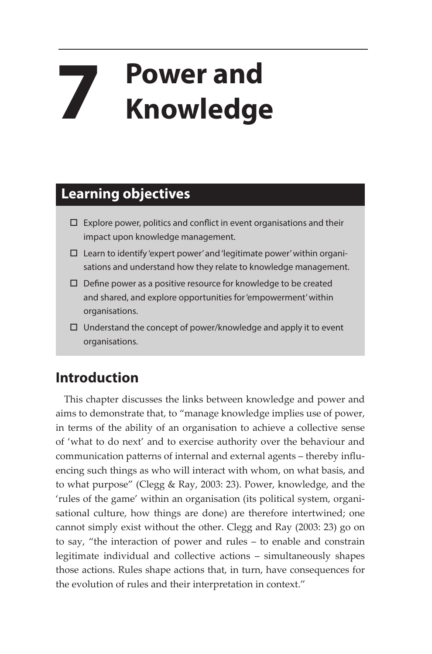## **7 Power and Knowledge**

## **Learning objectives**

- $\square$  Explore power, politics and conflict in event organisations and their impact upon knowledge management.
- $\square$  Learn to identify 'expert power' and 'legitimate power' within organisations and understand how they relate to knowledge management.
- $\square$  Define power as a positive resource for knowledge to be created and shared, and explore opportunities for 'empowerment' within organisations.
- $\Box$  Understand the concept of power/knowledge and apply it to event organisations.

## **Introduction**

This chapter discusses the links between knowledge and power and aims to demonstrate that, to "manage knowledge implies use of power, in terms of the ability of an organisation to achieve a collective sense of 'what to do next' and to exercise authority over the behaviour and communication patterns of internal and external agents – thereby influencing such things as who will interact with whom, on what basis, and to what purpose" (Clegg & Ray, 2003: 23). Power, knowledge, and the 'rules of the game' within an organisation (its political system, organisational culture, how things are done) are therefore intertwined; one cannot simply exist without the other. Clegg and Ray (2003: 23) go on to say, "the interaction of power and rules – to enable and constrain legitimate individual and collective actions – simultaneously shapes those actions. Rules shape actions that, in turn, have consequences for the evolution of rules and their interpretation in context."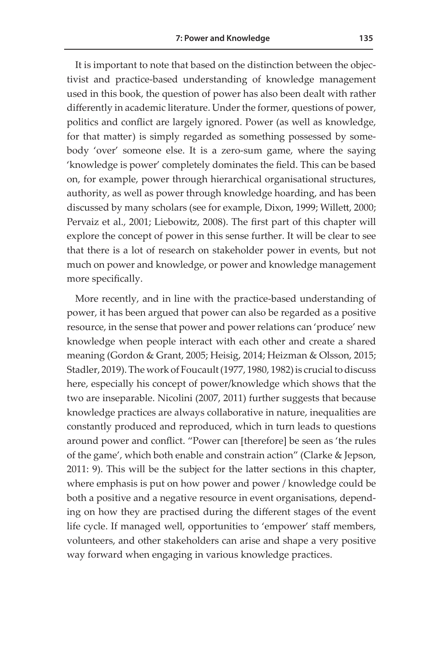It is important to note that based on the distinction between the objectivist and practice-based understanding of knowledge management used in this book, the question of power has also been dealt with rather differently in academic literature. Under the former, questions of power, politics and conflict are largely ignored. Power (as well as knowledge, for that matter) is simply regarded as something possessed by somebody 'over' someone else. It is a zero-sum game, where the saying 'knowledge is power' completely dominates the field. This can be based on, for example, power through hierarchical organisational structures, authority, as well as power through knowledge hoarding, and has been discussed by many scholars (see for example, Dixon, 1999; Willett, 2000; Pervaiz et al., 2001; Liebowitz, 2008). The first part of this chapter will explore the concept of power in this sense further. It will be clear to see that there is a lot of research on stakeholder power in events, but not much on power and knowledge, or power and knowledge management more specifically.

More recently, and in line with the practice-based understanding of power, it has been argued that power can also be regarded as a positive resource, in the sense that power and power relations can 'produce' new knowledge when people interact with each other and create a shared meaning (Gordon & Grant, 2005; Heisig, 2014; Heizman & Olsson, 2015; Stadler, 2019). The work of Foucault (1977, 1980, 1982) is crucial to discuss here, especially his concept of power/knowledge which shows that the two are inseparable. Nicolini (2007, 2011) further suggests that because knowledge practices are always collaborative in nature, inequalities are constantly produced and reproduced, which in turn leads to questions around power and conflict. "Power can [therefore] be seen as 'the rules of the game', which both enable and constrain action" (Clarke & Jepson, 2011: 9). This will be the subject for the latter sections in this chapter, where emphasis is put on how power and power / knowledge could be both a positive and a negative resource in event organisations, depending on how they are practised during the different stages of the event life cycle. If managed well, opportunities to 'empower' staff members, volunteers, and other stakeholders can arise and shape a very positive way forward when engaging in various knowledge practices.